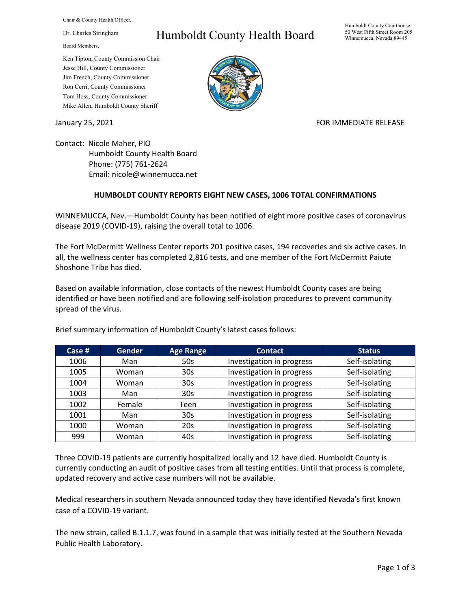Chair & County Health Officer,

Dr. Charles Stringham

Board Members,

## Ken Tipton, County Commission Chair Jesse Hill, County Commissioner Jim French, County Commissioner Ron Cerri, County Commissioner Tom Hoss, County Commissioner Mike Allen, Humboldt County Sheriff

## Humboldt County Health Board

## Humboldt County Courthouse 50 West Fifth Street Room 205 Winnemucca, Nevada 89445



January 25, 2021 **FOR IMMEDIATE RELEASE** 

Contact: Nicole Maher, PIO Humboldt County Health Board Phone: (775) 761-2624 Email: nicole@winnemucca.net

## **HUMBOLDT COUNTY REPORTS EIGHT NEW CASES, 1006 TOTAL CONFIRMATIONS**

WINNEMUCCA, Nev.—Humboldt County has been notified of eight more positive cases of coronavirus disease 2019 (COVID-19), raising the overall total to 1006.

The Fort McDermitt Wellness Center reports 201 positive cases, 194 recoveries and six active cases. In all, the wellness center has completed 2,816 tests, and one member of the Fort McDermitt Paiute Shoshone Tribe has died.

Based on available information, close contacts of the newest Humboldt County cases are being identified or have been notified and are following self-isolation procedures to prevent community spread of the virus.

| Case $#$ | <b>Gender</b> | <b>Age Range</b> | <b>Contact</b>            | <b>Status</b>  |
|----------|---------------|------------------|---------------------------|----------------|
| 1006     | Man           | 50s              | Investigation in progress | Self-isolating |
| 1005     | Woman         | 30 <sub>s</sub>  | Investigation in progress | Self-isolating |
| 1004     | Woman         | 30 <sub>s</sub>  | Investigation in progress | Self-isolating |
| 1003     | Man           | 30 <sub>s</sub>  | Investigation in progress | Self-isolating |
| 1002     | Female        | Teen             | Investigation in progress | Self-isolating |
| 1001     | Man           | 30 <sub>s</sub>  | Investigation in progress | Self-isolating |
| 1000     | Woman         | 20s              | Investigation in progress | Self-isolating |
| 999      | Woman         | 40s              | Investigation in progress | Self-isolating |

Brief summary information of Humboldt County's latest cases follows:

Three COVID-19 patients are currently hospitalized locally and 12 have died. Humboldt County is currently conducting an audit of positive cases from all testing entities. Until that process is complete, updated recovery and active case numbers will not be available.

Medical researchers in southern Nevada announced today they have identified Nevada's first known case of a COVID-19 variant.

The new strain, called B.1.1.7, was found in a sample that was initially tested at the Southern Nevada Public Health Laboratory.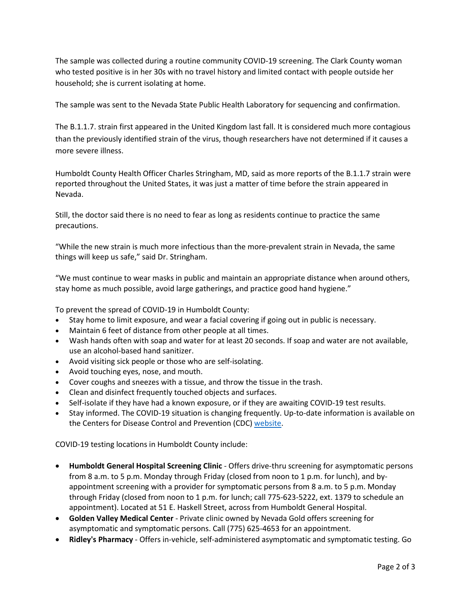The sample was collected during a routine community COVID-19 screening. The Clark County woman who tested positive is in her 30s with no travel history and limited contact with people outside her household; she is current isolating at home.

The sample was sent to the Nevada State Public Health Laboratory for sequencing and confirmation.

The B.1.1.7. strain first appeared in the United Kingdom last fall. It is considered much more contagious than the previously identified strain of the virus, though researchers have not determined if it causes a more severe illness.

Humboldt County Health Officer Charles Stringham, MD, said as more reports of the B.1.1.7 strain were reported throughout the United States, it was just a matter of time before the strain appeared in Nevada.

Still, the doctor said there is no need to fear as long as residents continue to practice the same precautions.

"While the new strain is much more infectious than the more-prevalent strain in Nevada, the same things will keep us safe," said Dr. Stringham.

"We must continue to wear masks in public and maintain an appropriate distance when around others, stay home as much possible, avoid large gatherings, and practice good hand hygiene."

To prevent the spread of COVID-19 in Humboldt County:

- Stay home to limit exposure, and wear a facial covering if going out in public is necessary.
- Maintain 6 feet of distance from other people at all times.
- Wash hands often with soap and water for at least 20 seconds. If soap and water are not available, use an alcohol-based hand sanitizer.
- Avoid visiting sick people or those who are self-isolating.
- Avoid touching eyes, nose, and mouth.
- Cover coughs and sneezes with a tissue, and throw the tissue in the trash.
- Clean and disinfect frequently touched objects and surfaces.
- Self-isolate if they have had a known exposure, or if they are awaiting COVID-19 test results.
- Stay informed. The COVID-19 situation is changing frequently. Up-to-date information is available on the Centers for Disease Control and Prevention (CDC) [website.](http://www.cdc.gov/coronavirus/2019-ncov/index.html)

COVID-19 testing locations in Humboldt County include:

- **Humboldt General Hospital Screening Clinic** Offers drive-thru screening for asymptomatic persons from 8 a.m. to 5 p.m. Monday through Friday (closed from noon to 1 p.m. for lunch), and byappointment screening with a provider for symptomatic persons from 8 a.m. to 5 p.m. Monday through Friday (closed from noon to 1 p.m. for lunch; call 775-623-5222, ext. 1379 to schedule an appointment). Located at 51 E. Haskell Street, across from Humboldt General Hospital.
- **Golden Valley Medical Center** Private clinic owned by Nevada Gold offers screening for asymptomatic and symptomatic persons. Call (775) 625-4653 for an appointment.
- **Ridley's Pharmacy** Offers in-vehicle, self-administered asymptomatic and symptomatic testing. Go